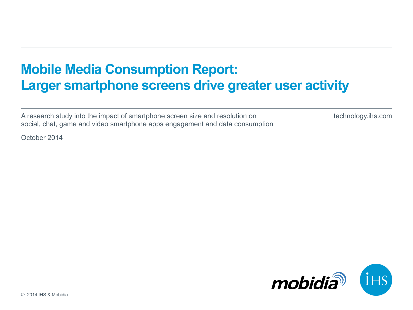# **Mobile Media Consumption Report: Larger smartphone screens drive greater user activity**

A research study into the impact of smartphone screen size and resolution on social, chat, game and video smartphone apps engagement and data consumption technology.ihs.com

October 2014

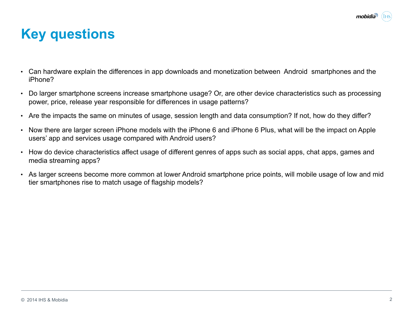

## **Key questions**

- Can hardware explain the differences in app downloads and monetization between Android smartphones and the iPhone?
- Do larger smartphone screens increase smartphone usage? Or, are other device characteristics such as processing power, price, release year responsible for differences in usage patterns?
- Are the impacts the same on minutes of usage, session length and data consumption? If not, how do they differ?
- Now there are larger screen iPhone models with the iPhone 6 and iPhone 6 Plus, what will be the impact on Apple users' app and services usage compared with Android users?
- How do device characteristics affect usage of different genres of apps such as social apps, chat apps, games and media streaming apps?
- As larger screens become more common at lower Android smartphone price points, will mobile usage of low and mid tier smartphones rise to match usage of flagship models?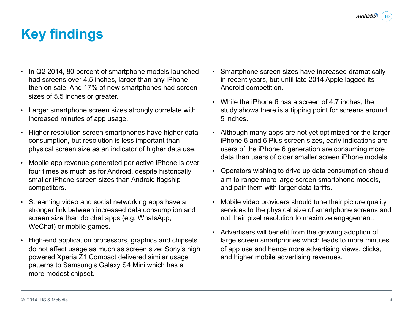# **Key findings**

- In Q2 2014, 80 percent of smartphone models launched had screens over 4.5 inches, larger than any iPhone then on sale. And 17% of new smartphones had screen sizes of 5.5 inches or greater.
- Larger smartphone screen sizes strongly correlate with increased minutes of app usage.
- Higher resolution screen smartphones have higher data consumption, but resolution is less important than physical screen size as an indicator of higher data use.
- Mobile app revenue generated per active iPhone is over four times as much as for Android, despite historically smaller iPhone screen sizes than Android flagship competitors.
- Streaming video and social networking apps have a stronger link between increased data consumption and screen size than do chat apps (e.g. WhatsApp, WeChat) or mobile games.
- High-end application processors, graphics and chipsets do not affect usage as much as screen size: Sony's high powered Xperia Z1 Compact delivered similar usage patterns to Samsung's Galaxy S4 Mini which has a more modest chipset.
- Smartphone screen sizes have increased dramatically in recent years, but until late 2014 Apple lagged its Android competition.
- While the iPhone 6 has a screen of 4.7 inches, the study shows there is a tipping point for screens around 5 inches.
- Although many apps are not yet optimized for the larger iPhone 6 and 6 Plus screen sizes, early indications are users of the iPhone 6 generation are consuming more data than users of older smaller screen iPhone models.
- Operators wishing to drive up data consumption should aim to range more large screen smartphone models, and pair them with larger data tariffs.
- Mobile video providers should tune their picture quality services to the physical size of smartphone screens and not their pixel resolution to maximize engagement.
- Advertisers will benefit from the growing adoption of large screen smartphones which leads to more minutes of app use and hence more advertising views, clicks, and higher mobile advertising revenues.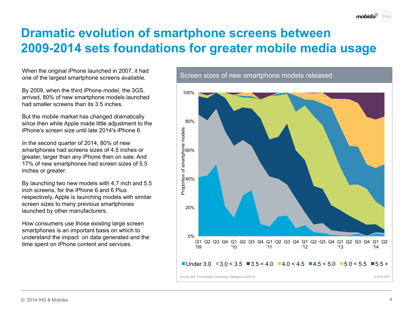#### **Dramatic evolution of smartphone screens between 2009-2014 sets foundations for greater mobile media usage**

When the original iPhone launched in 2007, it had one of the largest smartphone screens available.

By 2009, when the third iPhone model, the 3GS, arrived, 80% of new smartphone models launched had smaller screens than its 3.5 inches.

But the mobile market has changed dramatically since then while Apple made little adjustment to the iPhone's screen size until late 2014's iPhone 6.

In the second quarter of 2014, 80% of new smartphones had screens sizes of 4.5 inches or greater, larger than any iPhone then on sale. And 17% of new smartphones had screen sizes of 5.5 inches or greater.

By launching two new models with 4.7 inch and 5.5 inch screens, for the iPhone 6 and 6 Plus respectively, Apple is launching models with similar screen sizes to many previous smartphones launched by other manufacturers.

How consumers use those existing large screen smartphones is an important basis on which to understand the impact on data generated and the time spent on iPhone content and services.

© 2014 IHS & Mobidia

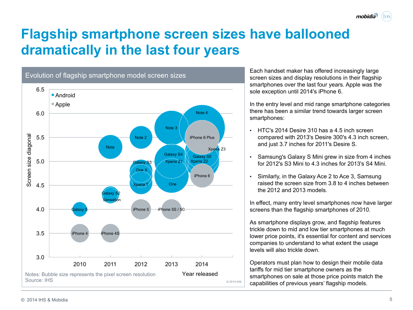# **Flagship smartphone screen sizes have ballooned dramatically in the last four years**



Each handset maker has offered increasingly large screen sizes and display resolutions in their flagship smartphones over the last four years. Apple was the sole exception until 2014's iPhone 6.

In the entry level and mid range smartphone categories there has been a similar trend towards larger screen smartphones:

- HTC's 2014 Desire 310 has a 4.5 inch screen compared with 2013's Desire 300's 4.3 inch screen, and just 3.7 inches for 2011's Desire S.
- Samsung's Galaxy S Mini grew in size from 4 inches for 2012's S3 Mini to 4.3 inches for 2013's S4 Mini.
- Similarly, in the Galaxy Ace 2 to Ace 3, Samsung raised the screen size from 3.8 to 4 inches between the 2012 and 2013 models.

In effect, many entry level smartphones now have larger screens than the flagship smartphones of 2010.

As smartphone displays grow, and flagship features trickle down to mid and low tier smartphones at much lower price points, it's essential for content and services companies to understand to what extent the usage levels will also trickle down.

Operators must plan how to design their mobile data tariffs for mid tier smartphone owners as the smartphones on sale at those price points match the capabilities of previous years' flagship models.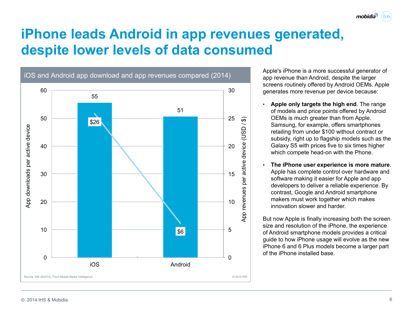mobidia

# **iPhone leads Android in app revenues generated, despite lower levels of data consumed**



Apple's iPhone is a more successful generator of app revenue than Android, despite the larger screens routinely offered by Android OEMs. Apple generates more revenue per device because:

- **Apple only targets the high end**. The range of models and price points offered by Android OEMs is much greater than from Apple. Samsung, for example, offers smartphones retailing from under \$100 without contract or subsidy, right up to flagship models such as the Galaxy S5 with prices five to six times higher which compete head-on with the Phone.
- **The iPhone user experience is more mature**. Apple has complete control over hardware and software making it easier for Apple and app developers to deliver a reliable experience. By contrast, Google and Android smartphone makers must work together which makes innovation slower and harder.

But now Apple is finally increasing both the screen size and resolution of the iPhone, the experience of Android smartphone models provides a critical guide to how iPhone usage will evolve as the new iPhone 6 and 6 Plus models become a larger part of the iPhone installed base.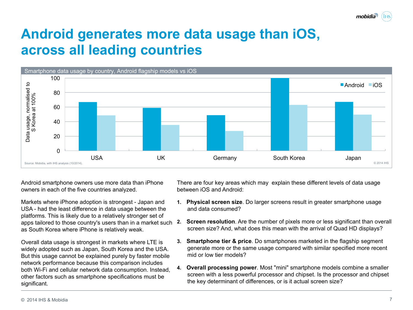

# **Android generates more data usage than iOS, across all leading countries**



Android smartphone owners use more data than iPhone owners in each of the five countries analyzed.

Markets where iPhone adoption is strongest - Japan and USA - had the least difference in data usage between the platforms. This is likely due to a relatively stronger set of apps tailored to those country's users than in a market such as South Korea where iPhone is relatively weak.

Overall data usage is strongest in markets where LTE is widely adopted such as Japan, South Korea and the USA. But this usage cannot be explained purely by faster mobile network performance because this comparison includes both Wi-Fi and cellular network data consumption. Instead, other factors such as smartphone specifications must be significant.

There are four key areas which may explain these different levels of data usage between iOS and Android:

- **1. Physical screen size**. Do larger screens result in greater smartphone usage and data consumed?
- **2. Screen resolution**. Are the number of pixels more or less significant than overall screen size? And, what does this mean with the arrival of Quad HD displays?
- **3. Smartphone tier & price**. Do smartphones marketed in the flagship segment generate more or the same usage compared with similar specified more recent mid or low tier models?
- **4. Overall processing power**. Most "mini" smartphone models combine a smaller screen with a less powerful processor and chipset. Is the processor and chipset the key determinant of differences, or is it actual screen size?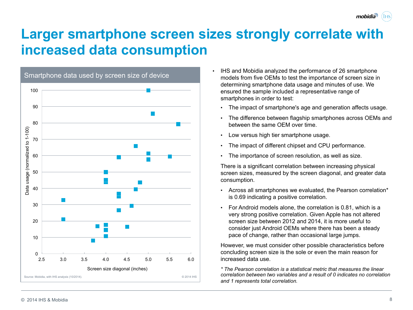## **Larger smartphone screen sizes strongly correlate with increased data consumption**



- IHS and Mobidia analyzed the performance of 26 smartphone models from five OEMs to test the importance of screen size in determining smartphone data usage and minutes of use. We ensured the sample included a representative range of smartphones in order to test:
	- The impact of smartphone's age and generation affects usage.
	- The difference between flagship smartphones across OEMs and between the same OEM over time.
	- Low versus high tier smartphone usage.
	- The impact of different chipset and CPU performance.
	- The importance of screen resolution, as well as size.

There is a significant correlation between increasing physical screen sizes, measured by the screen diagonal, and greater data consumption.

- Across all smartphones we evaluated, the Pearson correlation\* is 0.69 indicating a positive correlation.
- For Android models alone, the correlation is 0.81, which is a very strong positive correlation. Given Apple has not altered screen size between 2012 and 2014, it is more useful to consider just Android OEMs where there has been a steady pace of change, rather than occasional large jumps.

However, we must consider other possible characteristics before concluding screen size is the sole or even the main reason for increased data use.

*\* The Pearson correlation is a statistical metric that measures the linear correlation between two variables and a result of 0 indicates no correlation and 1 represents total correlation.* 

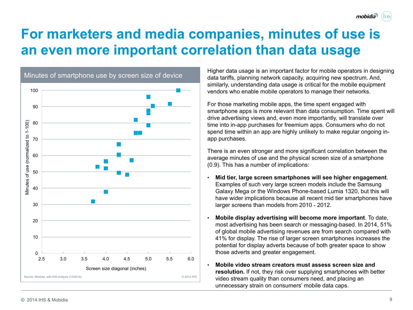## **For marketers and media companies, minutes of use is an even more important correlation than data usage**



Higher data usage is an important factor for mobile operators in designing data tariffs, planning network capacity, acquiring new spectrum. And, similarly, understanding data usage is critical for the mobile equipment vendors who enable mobile operators to manage their networks.

mobidia

For those marketing mobile apps, the time spent engaged with smartphone apps is more relevant than data consumption. Time spent will drive advertising views and, even more importantly, will translate over time into in-app purchases for freemium apps. Consumers who do not spend time within an app are highly unlikely to make regular ongoing inapp purchases.

There is an even stronger and more significant correlation between the average minutes of use and the physical screen size of a smartphone (0.9). This has a number of implications:

- **Mid tier, large screen smartphones will see higher engagement**. Examples of such very large screen models include the Samsung Galaxy Mega or the Windows Phone-based Lumia 1320, but this will have wider implications because all recent mid tier smartphones have larger screens than models from 2010 - 2012.
- **Mobile display advertising will become more important**. To date, most advertising has been search or messaging-based. In 2014, 51% of global mobile advertising revenues are from search compared with 41% for display. The rise of larger screen smartphones increases the potential for display adverts because of both greater space to show those adverts and greater engagement.
- **Mobile video stream creators must assess screen size and resolution.** If not, they risk over supplying smartphones with better video stream quality than consumers need, and placing an unnecessary strain on consumers' mobile data caps.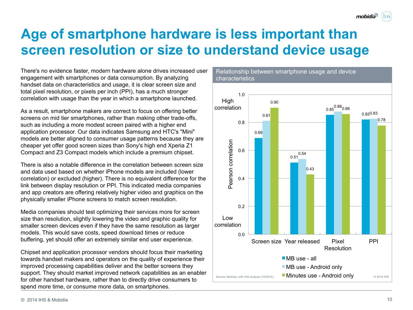#### **Age of smartphone hardware is less important than screen resolution or size to understand device usage**

There's no evidence faster, modern hardware alone drives increased user engagement with smartphones or data consumption. By analyzing handset data on characteristics and usage, it is clear screen size and total pixel resolution, or pixels per inch (PPI), has a much stronger correlation with usage than the year in which a smartphone launched.

As a result, smartphone makers are correct to focus on offering better screens on mid tier smartphones, rather than making other trade-offs, such as including a more modest screen paired with a higher end application processor. Our data indicates Samsung and HTC's "Mini" models are better aligned to consumer usage patterns because they are cheaper yet offer good screen sizes than Sony's high end Xperia Z1 Compact and Z3 Compact models which include a premium chipset.

There is also a notable difference in the correlation between screen size and data used based on whether iPhone models are included (lower correlation) or excluded (higher). There is no equivalent difference for the link between display resolution or PPI. This indicated media companies and app creators are offering relatively higher video and graphics on the physically smaller iPhone screens to match screen resolution.

Media companies should test optimizing their services more for screen size than resolution, slightly lowering the video and graphic quality for smaller screen devices even if they have the same resolution as larger models. This would save costs, speed download times or reduce buffering, yet should offer an extremely similar end user experience.

Chipset and application processor vendors should focus their marketing towards handset makers and operators on the quality of experience their improved processing capabilities deliver and the better screens they support. They should market improved network capabilities as an enabler for other handset hardware, rather than to directly drive consumers to spend more time, or consume more data, on smartphones.

characteristics



Relationship between smartphone usage and device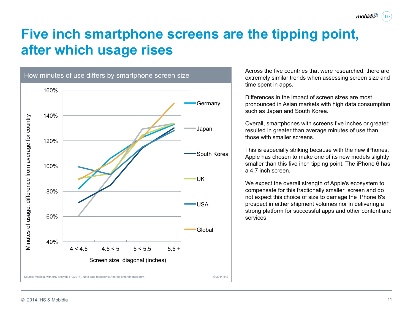## **Five inch smartphone screens are the tipping point, after which usage rises**



Across the five countries that were researched, there are extremely similar trends when assessing screen size and time spent in apps.

mobidia

Differences in the impact of screen sizes are most pronounced in Asian markets with high data consumption such as Japan and South Korea.

Overall, smartphones with screens five inches or greater resulted in greater than average minutes of use than those with smaller screens.

This is especially striking because with the new iPhones, Apple has chosen to make one of its new models slightly smaller than this five inch tipping point: The iPhone 6 has a 4.7 inch screen.

We expect the overall strength of Apple's ecosystem to compensate for this fractionally smaller screen and do not expect this choice of size to damage the iPhone 6's prospect in either shipment volumes nor in delivering a strong platform for successful apps and other content and services.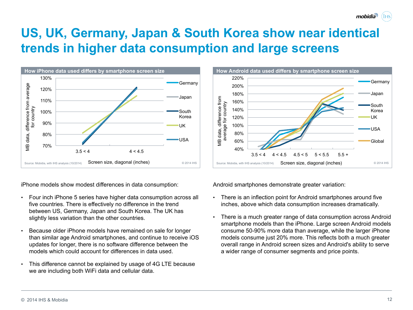© 2014 IHS & Mobidia

#### **US, UK, Germany, Japan & South Korea show near identical trends in higher data consumption and large screens**



iPhone models show modest differences in data consumption:

- Four inch iPhone 5 series have higher data consumption across all five countries. There is effectively no difference in the trend between US, Germany, Japan and South Korea. The UK has slightly less variation than the other countries.
- Because older iPhone models have remained on sale for longer than similar age Android smartphones, and continue to receive iOS updates for longer, there is no software difference between the models which could account for differences in data used.
- This difference cannot be explained by usage of 4G LTE because we are including both WiFi data and cellular data.

 $3.5 < 4$   $4 < 4.5$   $4.5 < 5$   $5 < 5.5$   $5.5 +$ Source: Mobidia, with IHS analysis (10/2014) Screen size, diagonal (inches)  $\frac{180\%}{120\%}$ <br>
Source: Mobidia, with IHS analysis (10/2014) Screen size, diagonal (inches)  $\frac{180\%}{120\%}$ Screen size, diagonal (inches)

**How Android data used differs by smartphone screen size** 

Android smartphones demonstrate greater variation:

40% 60% 80% 100% 120% 140% 160% 180% 200% 220%

- There is an inflection point for Android smartphones around five inches, above which data consumption increases dramatically.
- There is a much greater range of data consumption across Android smartphone models than the iPhone. Large screen Android models consume 50-90% more data than average, while the larger iPhone models consume just 20% more. This reflects both a much greater overall range in Android screen sizes and Android's ability to serve a wider range of consumer segments and price points.



Germany

Japan

South Korea UK

USA

**Global**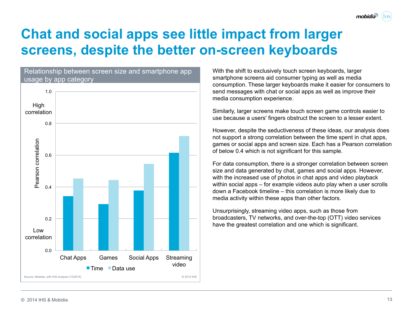## **Chat and social apps see little impact from larger screens, despite the better on-screen keyboards**



With the shift to exclusively touch screen keyboards, larger smartphone screens aid consumer typing as well as media consumption. These larger keyboards make it easier for consumers to send messages with chat or social apps as well as improve their media consumption experience.

mobidia

Similarly, larger screens make touch screen game controls easier to use because a users' fingers obstruct the screen to a lesser extent.

However, despite the seductiveness of these ideas, our analysis does not support a strong correlation between the time spent in chat apps, games or social apps and screen size. Each has a Pearson correlation of below 0.4 which is not significant for this sample.

For data consumption, there is a stronger correlation between screen size and data generated by chat, games and social apps. However, with the increased use of photos in chat apps and video playback within social apps – for example videos auto play when a user scrolls down a Facebook timeline – this correlation is more likely due to media activity within these apps than other factors.

Unsurprisingly, streaming video apps, such as those from broadcasters, TV networks, and over-the-top (OTT) video services have the greatest correlation and one which is significant.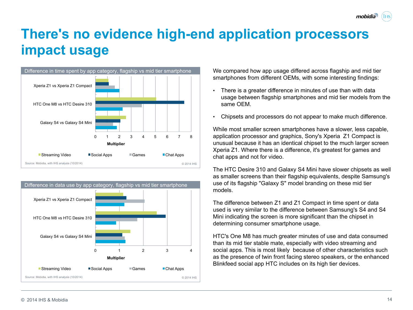# **There's no evidence high-end application processors impact usage**





We compared how app usage differed across flagship and mid tier smartphones from different OEMs, with some interesting findings:

- There is a greater difference in minutes of use than with data usage between flagship smartphones and mid tier models from the same OEM.
- Chipsets and processors do not appear to make much difference.

While most smaller screen smartphones have a slower, less capable, application processor and graphics, Sony's Xperia Z1 Compact is unusual because it has an identical chipset to the much larger screen Xperia Z1. Where there is a difference, it's greatest for games and chat apps and not for video.

The HTC Desire 310 and Galaxy S4 Mini have slower chipsets as well as smaller screens than their flagship equivalents, despite Samsung's use of its flagship "Galaxy S" model branding on these mid tier models.

The difference between Z1 and Z1 Compact in time spent or data used is very similar to the difference between Samsung's S4 and S4 Mini indicating the screen is more significant than the chipset in determining consumer smartphone usage.

HTC's One M8 has much greater minutes of use and data consumed than its mid tier stable mate, especially with video streaming and social apps. This is most likely because of other characteristics such as the presence of twin front facing stereo speakers, or the enhanced Blinkfeed social app HTC includes on its high tier devices.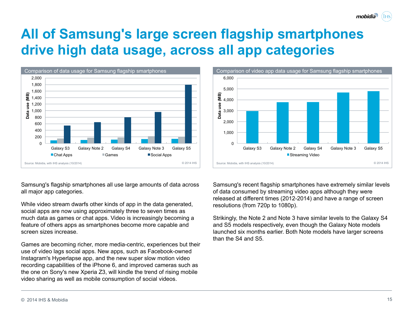

Samsung's recent flagship smartphones have extremely similar levels of data consumed by streaming video apps although they were released at different times (2012-2014) and have a range of screen resolutions (from 720p to 1080p).

Strikingly, the Note 2 and Note 3 have similar levels to the Galaxy S4 and S5 models respectively, even though the Galaxy Note models launched six months earlier. Both Note models have larger screens than the S4 and S5.

# **All of Samsung's large screen flagship smartphones drive high data usage, across all app categories**



Samsung's flagship smartphones all use large amounts of data across

While video stream dwarfs other kinds of app in the data generated, social apps are now using approximately three to seven times as much data as games or chat apps. Video is increasingly becoming a feature of others apps as smartphones become more capable and



mobidia

all major app categories.

screen sizes increase.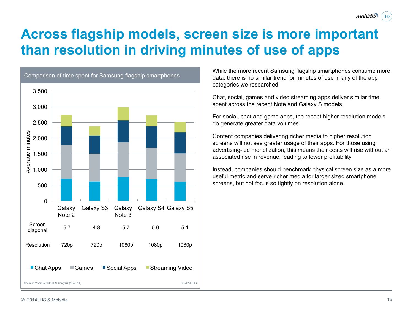## **Across flagship models, screen size is more important than resolution in driving minutes of use of apps**



While the more recent Samsung flagship smartphones consume more data, there is no similar trend for minutes of use in any of the app categories we researched.

Chat, social, games and video streaming apps deliver similar time spent across the recent Note and Galaxy S models.

For social, chat and game apps, the recent higher resolution models do generate greater data volumes.

Content companies delivering richer media to higher resolution screens will not see greater usage of their apps. For those using advertising-led monetization, this means their costs will rise without an associated rise in revenue, leading to lower profitability.

Instead, companies should benchmark physical screen size as a more useful metric and serve richer media for larger sized smartphone screens, but not focus so tightly on resolution alone.

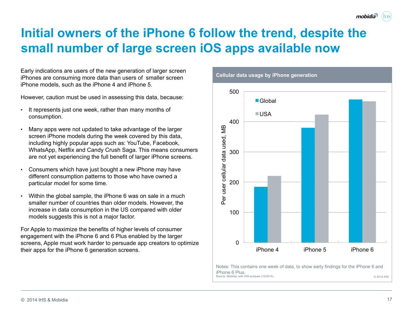#### **Initial owners of the iPhone 6 follow the trend, despite the small number of large screen iOS apps available now**

Early indications are users of the new generation of larger screen iPhones are consuming more data than users of smaller screen iPhone models, such as the iPhone 4 and iPhone 5.

However, caution must be used in assessing this data, because:

- It represents just one week, rather than many months of consumption.
- Many apps were not updated to take advantage of the larger screen iPhone models during the week covered by this data, including highly popular apps such as: YouTube, Facebook, WhatsApp, Netflix and Candy Crush Saga. This means consumers are not yet experiencing the full benefit of larger iPhone screens.
- Consumers which have just bought a new iPhone may have different consumption patterns to those who have owned a particular model for some time.
- Within the global sample, the iPhone 6 was on sale in a much smaller number of countries than older models. However, the increase in data consumption in the US compared with older models suggests this is not a major factor.

For Apple to maximize the benefits of higher levels of consumer engagement with the iPhone 6 and 6 Plus enabled by the larger screens, Apple must work harder to persuade app creators to optimize their apps for the iPhone 6 generation screens.





mobidia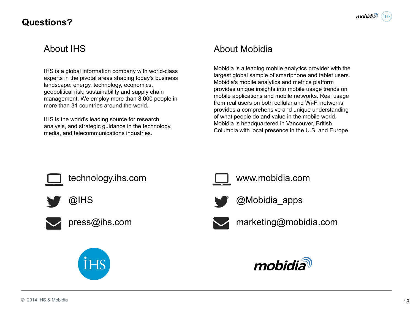#### **Questions?**

#### About IHS

IHS is a global information company with world-class experts in the pivotal areas shaping today's business landscape: energy, technology, economics, geopolitical risk, sustainability and supply chain management. We employ more than 8,000 people in more than 31 countries around the world.

IHS is the world's leading source for research, analysis, and strategic guidance in the technology, media, and telecommunications industries.

#### About Mobidia

Mobidia is a leading mobile analytics provider with the largest global sample of smartphone and tablet users. Mobidia's mobile analytics and metrics platform provides unique insights into mobile usage trends on mobile applications and mobile networks. Real usage from real users on both cellular and Wi-Fi networks provides a comprehensive and unique understanding of what people do and value in the mobile world. Mobidia is headquartered in Vancouver, British Columbia with local presence in the U.S. and Europe.















technology.ihs.com **www.mobidia.com** 



@IHS @Mobidia\_apps



press@ihs.com marketing@mobidia.com

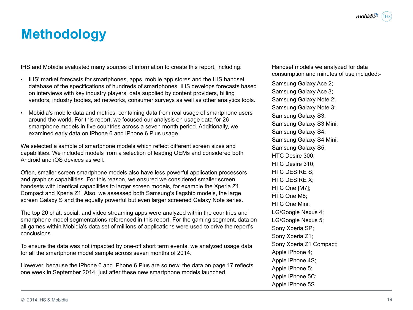# **Methodology**

IHS and Mobidia evaluated many sources of information to create this report, including:

- IHS' market forecasts for smartphones, apps, mobile app stores and the IHS handset database of the specifications of hundreds of smartphones. IHS develops forecasts based on interviews with key industry players, data supplied by content providers, billing vendors, industry bodies, ad networks, consumer surveys as well as other analytics tools.
- Mobidia's mobile data and metrics, containing data from real usage of smartphone users around the world. For this report, we focused our analysis on usage data for 26 smartphone models in five countries across a seven month period. Additionally, we examined early data on iPhone 6 and iPhone 6 Plus usage.

We selected a sample of smartphone models which reflect different screen sizes and capabilities. We included models from a selection of leading OEMs and considered both Android and iOS devices as well.

Often, smaller screen smartphone models also have less powerful application processors and graphics capabilities. For this reason, we ensured we considered smaller screen handsets with identical capabilities to larger screen models, for example the Xperia Z1 Compact and Xperia Z1. Also, we assessed both Samsung's flagship models, the large screen Galaxy S and the equally powerful but even larger screened Galaxy Note series.

The top 20 chat, social, and video streaming apps were analyzed within the countries and smartphone model segmentations referenced in this report. For the gaming segment, data on all games within Mobidia's data set of millions of applications were used to drive the report's conclusions.

To ensure the data was not impacted by one-off short term events, we analyzed usage data for all the smartphone model sample across seven months of 2014.

However, because the iPhone 6 and iPhone 6 Plus are so new, the data on page 17 reflects one week in September 2014, just after these new smartphone models launched.

Handset models we analyzed for data consumption and minutes of use included:-

Samsung Galaxy Ace 2; Samsung Galaxy Ace 3; Samsung Galaxy Note 2; Samsung Galaxy Note 3; Samsung Galaxy S3; Samsung Galaxy S3 Mini; Samsung Galaxy S4; Samsung Galaxy S4 Mini; Samsung Galaxy S5; HTC Desire 300; HTC Desire 310; HTC DESIRE S; HTC DESIRE X; HTC One [M7]; HTC One M8; HTC One Mini; LG/Google Nexus 4; LG/Google Nexus 5; Sony Xperia SP; Sony Xperia Z1; Sony Xperia Z1 Compact; Apple iPhone 4; Apple iPhone 4S; Apple iPhone 5; Apple iPhone 5C; Apple iPhone 5S.